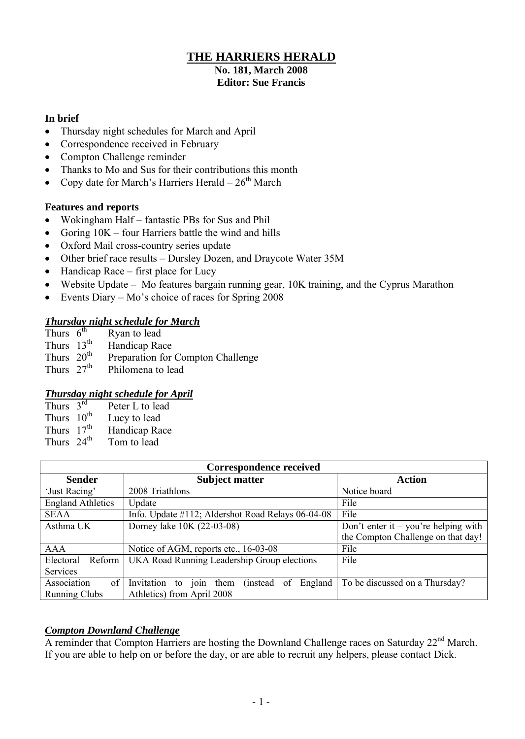## **THE HARRIERS HERALD**

#### **No. 181, March 2008 Editor: Sue Francis**

## **In brief**

- Thursday night schedules for March and April
- Correspondence received in February
- Compton Challenge reminder
- Thanks to Mo and Sus for their contributions this month
- Copy date for March's Harriers Herald  $26<sup>th</sup>$  March

## **Features and reports**

- Wokingham Half fantastic PBs for Sus and Phil
- Goring  $10K$  four Harriers battle the wind and hills
- Oxford Mail cross-country series update
- Other brief race results Dursley Dozen, and Draycote Water 35M
- $\bullet$  Handicap Race first place for Lucy
- Website Update Mo features bargain running gear, 10K training, and the Cyprus Marathon
- Events Diary Mo's choice of races for Spring 2008

## *Thursday night schedule for March*

| Thurs $6^{th}$          | Ryan to lead                            |
|-------------------------|-----------------------------------------|
| Thurs $13^{\text{th}}$  | Handicap Race                           |
| Thures 20 <sup>th</sup> | <b>Draparation for Compton Challong</b> |

- Thurs  $20^{\text{th}}$  Preparation for Compton Challenge
- Thurs  $27<sup>th</sup>$  Philomena to lead

## *Thursday night schedule for April*

| Thurs $3^{rd}$         | Peter L to lead |
|------------------------|-----------------|
| Thurs $10^{th}$        | Lucy to lead    |
| Thurs $17th$           | Handicap Race   |
| Thurs 24 <sup>th</sup> | Tom to lead     |

| <b>Correspondence received</b> |                                                                         |                                      |  |  |  |  |
|--------------------------------|-------------------------------------------------------------------------|--------------------------------------|--|--|--|--|
| <b>Sender</b>                  | <b>Subject matter</b>                                                   | <b>Action</b>                        |  |  |  |  |
| 'Just Racing'                  | 2008 Triathlons                                                         | Notice board                         |  |  |  |  |
| <b>England Athletics</b>       | Update                                                                  | File                                 |  |  |  |  |
| <b>SEAA</b>                    | Info. Update #112; Aldershot Road Relays 06-04-08                       | File                                 |  |  |  |  |
| Asthma UK                      | Dorney lake 10K (22-03-08)                                              | Don't enter it – you're helping with |  |  |  |  |
|                                |                                                                         | the Compton Challenge on that day!   |  |  |  |  |
| <b>AAA</b>                     | Notice of AGM, reports etc., 16-03-08                                   | File                                 |  |  |  |  |
| Electoral<br>Reform            | UKA Road Running Leadership Group elections                             | File                                 |  |  |  |  |
| Services                       |                                                                         |                                      |  |  |  |  |
| Association<br>of              | Invitation to join them<br><i>(instead)</i><br>England<br><sub>of</sub> | To be discussed on a Thursday?       |  |  |  |  |
| <b>Running Clubs</b>           | Athletics) from April 2008                                              |                                      |  |  |  |  |

## *Compton Downland Challenge*

A reminder that Compton Harriers are hosting the Downland Challenge races on Saturday 22<sup>nd</sup> March. If you are able to help on or before the day, or are able to recruit any helpers, please contact Dick.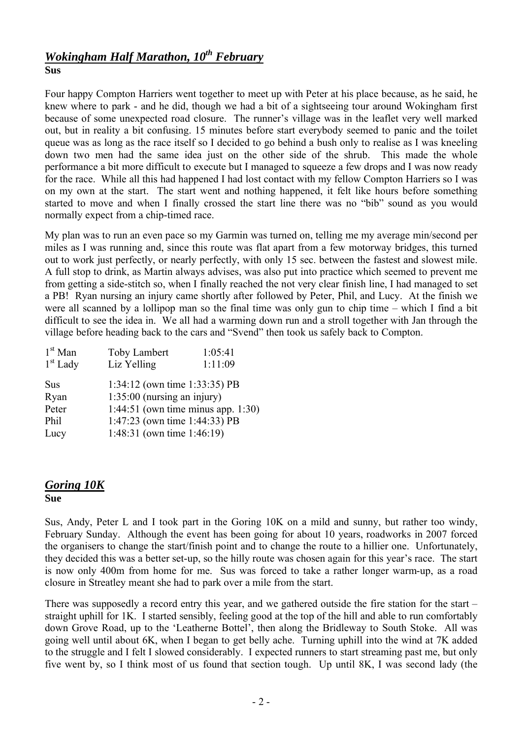## *Wokingham Half Marathon, 10th February* **Sus**

Four happy Compton Harriers went together to meet up with Peter at his place because, as he said, he knew where to park - and he did, though we had a bit of a sightseeing tour around Wokingham first because of some unexpected road closure. The runner's village was in the leaflet very well marked out, but in reality a bit confusing. 15 minutes before start everybody seemed to panic and the toilet queue was as long as the race itself so I decided to go behind a bush only to realise as I was kneeling down two men had the same idea just on the other side of the shrub. This made the whole performance a bit more difficult to execute but I managed to squeeze a few drops and I was now ready for the race. While all this had happened I had lost contact with my fellow Compton Harriers so I was on my own at the start. The start went and nothing happened, it felt like hours before something started to move and when I finally crossed the start line there was no "bib" sound as you would normally expect from a chip-timed race.

My plan was to run an even pace so my Garmin was turned on, telling me my average min/second per miles as I was running and, since this route was flat apart from a few motorway bridges, this turned out to work just perfectly, or nearly perfectly, with only 15 sec. between the fastest and slowest mile. A full stop to drink, as Martin always advises, was also put into practice which seemed to prevent me from getting a side-stitch so, when I finally reached the not very clear finish line, I had managed to set a PB! Ryan nursing an injury came shortly after followed by Peter, Phil, and Lucy. At the finish we were all scanned by a lollipop man so the final time was only gun to chip time – which I find a bit difficult to see the idea in. We all had a warming down run and a stroll together with Jan through the village before heading back to the cars and "Svend" then took us safely back to Compton.

| <b>Toby Lambert</b>                | 1:05:41     |
|------------------------------------|-------------|
|                                    | 1:11:09     |
| 1:34:12 (own time 1:33:35) PB      |             |
| $1:35:00$ (nursing an injury)      |             |
| 1:44:51 (own time minus app. 1:30) |             |
| 1:47:23 (own time 1:44:33) PB      |             |
| 1:48:31 (own time 1:46:19)         |             |
|                                    | Liz Yelling |

# *Goring 10K*

#### **Sue**

Sus, Andy, Peter L and I took part in the Goring 10K on a mild and sunny, but rather too windy, February Sunday. Although the event has been going for about 10 years, roadworks in 2007 forced the organisers to change the start/finish point and to change the route to a hillier one. Unfortunately, they decided this was a better set-up, so the hilly route was chosen again for this year's race. The start is now only 400m from home for me. Sus was forced to take a rather longer warm-up, as a road closure in Streatley meant she had to park over a mile from the start.

There was supposedly a record entry this year, and we gathered outside the fire station for the start – straight uphill for 1K. I started sensibly, feeling good at the top of the hill and able to run comfortably down Grove Road, up to the 'Leatherne Bottel', then along the Bridleway to South Stoke. All was going well until about 6K, when I began to get belly ache. Turning uphill into the wind at 7K added to the struggle and I felt I slowed considerably. I expected runners to start streaming past me, but only five went by, so I think most of us found that section tough. Up until 8K, I was second lady (the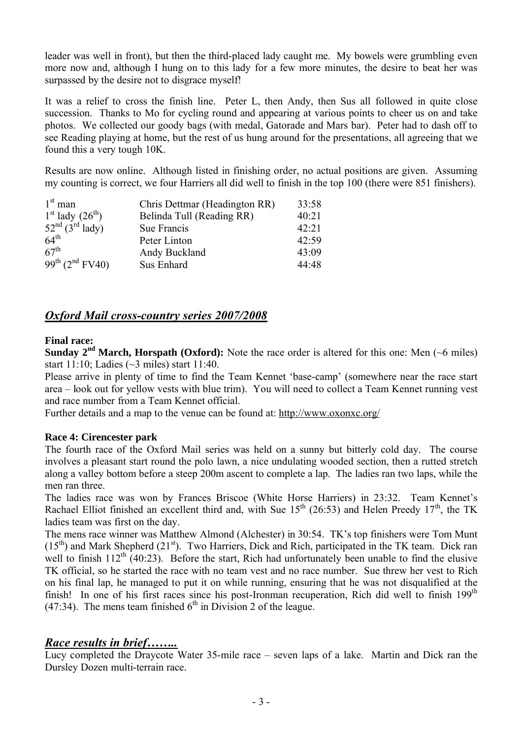leader was well in front), but then the third-placed lady caught me. My bowels were grumbling even more now and, although I hung on to this lady for a few more minutes, the desire to beat her was surpassed by the desire not to disgrace myself!

It was a relief to cross the finish line. Peter L, then Andy, then Sus all followed in quite close succession. Thanks to Mo for cycling round and appearing at various points to cheer us on and take photos. We collected our goody bags (with medal, Gatorade and Mars bar). Peter had to dash off to see Reading playing at home, but the rest of us hung around for the presentations, all agreeing that we found this a very tough 10K.

Results are now online. Although listed in finishing order, no actual positions are given. Assuming my counting is correct, we four Harriers all did well to finish in the top 100 (there were 851 finishers).

| $1st$ man                        | Chris Dettmar (Headington RR) | 33:58 |
|----------------------------------|-------------------------------|-------|
| $1st$ lady $(26th)$              | Belinda Tull (Reading RR)     | 40:21 |
| $52nd$ $(3rd)$ lady)             | Sue Francis                   | 42:21 |
| 64 <sup>th</sup>                 | Peter Linton                  | 42:59 |
| 67 <sup>th</sup>                 | Andy Buckland                 | 43:09 |
| $99^{th}$ (2 <sup>nd</sup> FV40) | Sus Enhard                    | 44:48 |

## *Oxford Mail cross-country series 2007/2008*

#### **Final race:**

**Sunday**  $2^{nd}$  **March, Horspath (Oxford):** Note the race order is altered for this one: Men ( $\sim$ 6 miles) start 11:10; Ladies (~3 miles) start 11:40.

Please arrive in plenty of time to find the Team Kennet 'base-camp' (somewhere near the race start area – look out for yellow vests with blue trim). You will need to collect a Team Kennet running vest and race number from a Team Kennet official.

Further details and a map to the venue can be found at: <http://www.oxonxc.org/>

#### **Race 4: Cirencester park**

The fourth race of the Oxford Mail series was held on a sunny but bitterly cold day. The course involves a pleasant start round the polo lawn, a nice undulating wooded section, then a rutted stretch along a valley bottom before a steep 200m ascent to complete a lap. The ladies ran two laps, while the men ran three

The ladies race was won by Frances Briscoe (White Horse Harriers) in 23:32. Team Kennet's Rachael Elliot finished an excellent third and, with Sue  $15<sup>th</sup>$  (26:53) and Helen Preedy  $17<sup>th</sup>$ , the TK ladies team was first on the day.

The mens race winner was Matthew Almond (Alchester) in 30:54. TK's top finishers were Tom Munt  $(15<sup>th</sup>)$  and Mark Shepherd  $(21<sup>st</sup>)$ . Two Harriers, Dick and Rich, participated in the TK team. Dick ran well to finish  $112^{th}$  (40:23). Before the start, Rich had unfortunately been unable to find the elusive TK official, so he started the race with no team vest and no race number. Sue threw her vest to Rich on his final lap, he managed to put it on while running, ensuring that he was not disqualified at the finish! In one of his first races since his post-Ironman recuperation, Rich did well to finish 199<sup>th</sup>  $(47:34)$ . The mens team finished  $6<sup>th</sup>$  in Division 2 of the league.

## *Race results in brief……..*

Lucy completed the Draycote Water 35-mile race – seven laps of a lake. Martin and Dick ran the Dursley Dozen multi-terrain race.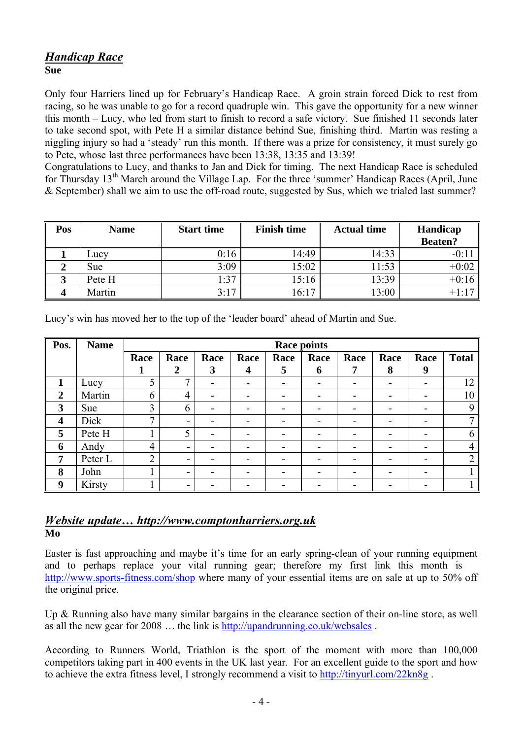## *Handicap Race* **Sue**

Only four Harriers lined up for February's Handicap Race. A groin strain forced Dick to rest from racing, so he was unable to go for a record quadruple win. This gave the opportunity for a new winner this month – Lucy, who led from start to finish to record a safe victory. Sue finished 11 seconds later to take second spot, with Pete H a similar distance behind Sue, finishing third. Martin was resting a niggling injury so had a 'steady' run this month. If there was a prize for consistency, it must surely go to Pete, whose last three performances have been 13:38, 13:35 and 13:39!

Congratulations to Lucy, and thanks to Jan and Dick for timing. The next Handicap Race is scheduled for Thursday  $13<sup>th</sup>$  March around the Village Lap. For the three 'summer' Handicap Races (April, June & September) shall we aim to use the off-road route, suggested by Sus, which we trialed last summer?

| Pos | <b>Name</b> | <b>Start time</b> | <b>Finish time</b> | <b>Actual time</b> | Handicap<br><b>Beaten?</b> |
|-----|-------------|-------------------|--------------------|--------------------|----------------------------|
|     | LUCY        | 0:16              | 14:49              | 14:33              | $-0:1$                     |
|     | Sue         | 3:09              | 15:02              | 11:53              | $+0:02$                    |
|     | Pete H      | 1:37              | 15:16              | 13:39              | $+0:16$                    |
|     | Martin      | 3:17              | 16:17              | 13:00              | $+1:17$                    |

| Pos.             | <b>Name</b> | <b>Race points</b> |                          |                          |                         |      |                          |                          |      |                          |                |
|------------------|-------------|--------------------|--------------------------|--------------------------|-------------------------|------|--------------------------|--------------------------|------|--------------------------|----------------|
|                  |             | Race               | Race                     | Race                     | Race                    | Race | Race                     | Race                     | Race | Race                     | <b>Total</b>   |
|                  |             |                    | $\overline{2}$           | 3                        | $\overline{\mathbf{4}}$ | 5    | 6                        | 7                        | 8    | 9                        |                |
| 1                | Lucy        | 5                  | ⇁                        | -                        |                         | -    | -                        | -                        | -    |                          | 12             |
| $\overline{2}$   | Martin      | 6                  | 4                        | -                        |                         | -    | -                        | -                        | -    |                          | 10             |
| 3                | <b>Sue</b>  | 3                  | $\mathfrak b$            | $\overline{\phantom{0}}$ | -                       | -    | -                        | $\overline{\phantom{0}}$ | -    | -                        | 9              |
| $\boldsymbol{4}$ | Dick        | 7                  | $\overline{\phantom{a}}$ | -                        | -                       | -    | $\overline{\phantom{0}}$ | -                        | -    | -                        | $\mathbf{r}$   |
| 5                | Pete H      |                    | 5                        | -                        | -                       | -    | -                        | -                        | -    | -                        | 6              |
| 6                | Andy        | 4                  | $\overline{\phantom{a}}$ | -                        | -                       | -    | -                        | -                        | -    | $\overline{\phantom{a}}$ | 4              |
| 7                | Peter L     | $\overline{2}$     | $\overline{\phantom{a}}$ |                          |                         | -    | -                        | -                        | -    |                          | $\overline{2}$ |
| 8                | John        |                    | $\overline{\phantom{a}}$ | -                        | -                       | -    | -                        | $\overline{\phantom{0}}$ | -    | -                        |                |
| 9                | Kirsty      |                    | $\overline{\phantom{a}}$ |                          |                         |      |                          | -                        |      |                          |                |

Lucy's win has moved her to the top of the 'leader board' ahead of Martin and Sue.

## *Website update… http://www.comptonharriers.org.uk* **Mo**

Easter is fast approaching and maybe it's time for an early spring-clean of your running equipment and to perhaps replace your vital running gear; therefore my first link this month is <http://www.sports-fitness.com/shop> where many of your essential items are on sale at up to 50% off the original price.

Up & Running also have many similar bargains in the clearance section of their on-line store, as well as all the new gear for 2008 … the link is <http://upandrunning.co.uk/websales> .

According to Runners World, Triathlon is the sport of the moment with more than 100,000 competitors taking part in 400 events in the UK last year. For an excellent guide to the sport and how to achieve the extra fitness level, I strongly recommend a visit to <http://tinyurl.com/22kn8g> .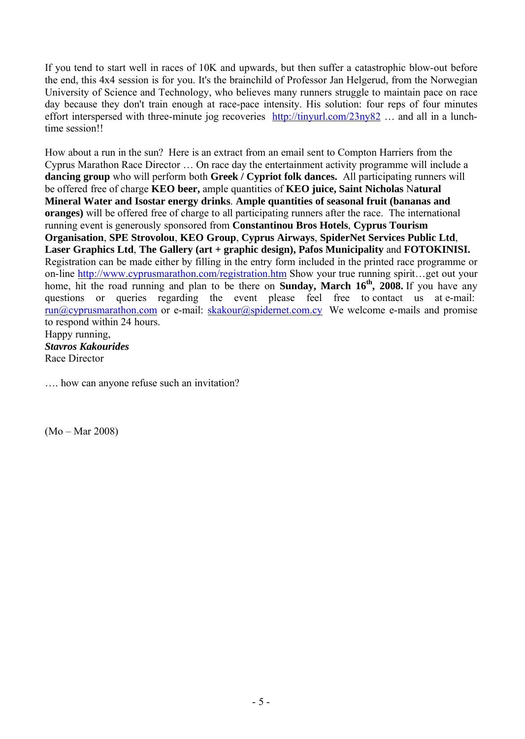If you tend to start well in races of 10K and upwards, but then suffer a catastrophic blow-out before the end, this 4x4 session is for you. It's the brainchild of Professor Jan Helgerud, from the Norwegian University of Science and Technology, who believes many runners struggle to maintain pace on race day because they don't train enough at race-pace intensity. His solution: four reps of four minutes effort interspersed with three-minute jog recoveries <http://tinyurl.com/23ny82> … and all in a lunchtime session!!

How about a run in the sun? Here is an extract from an email sent to Compton Harriers from the Cyprus Marathon Race Director … On race day the entertainment activity programme will include a **dancing group** who will perform both **Greek / Cypriot folk dances.** All participating runners will be offered free of charge **KEO beer,** ample quantities of **KEO juice, Saint Nicholas** N**atural Mineral Water and Isostar energy drinks**. **Ample quantities of seasonal fruit (bananas and oranges)** will be offered free of charge to all participating runners after the race. The international running event is generously sponsored from **Constantinou Bros Hotels**, **Cyprus Tourism Organisation**, **SPE Strovolou**, **KEO Group**, **Cyprus Airways**, **SpiderNet Services Public Ltd**, **Laser Graphics Ltd**, **The Gallery (art + graphic design), Pafos Municipality** and **FOTOKINISI.** Registration can be made either by filling in the entry form included in the printed race programme or on-line <http://www.cyprusmarathon.com/registration.htm> Show your true running spirit…get out your home, hit the road running and plan to be there on **Sunday, March 16th , 2008.** If you have any questions or queries regarding the event please feel free to contact us at e-mail:  $run@cyprusmarathon.com$  or e-mail:  $skakour@spidernet.com.cy$  We welcome e-mails and promise to respond within 24 hours. Happy running, *Stavros Kakourides*

Race Director

…. how can anyone refuse such an invitation?

(Mo – Mar 2008)